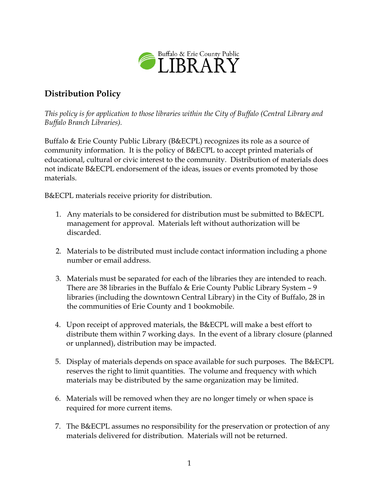

## **Distribution Policy**

*This policy is for application to those libraries within the City of Buffalo (Central Library and Buffalo Branch Libraries).*

Buffalo & Erie County Public Library (B&ECPL) recognizes its role as a source of community information. It is the policy of B&ECPL to accept printed materials of educational, cultural or civic interest to the community. Distribution of materials does not indicate B&ECPL endorsement of the ideas, issues or events promoted by those materials.

B&ECPL materials receive priority for distribution.

- 1. Any materials to be considered for distribution must be submitted to B&ECPL management for approval. Materials left without authorization will be discarded.
- 2. Materials to be distributed must include contact information including a phone number or email address.
- 3. Materials must be separated for each of the libraries they are intended to reach. There are 38 libraries in the Buffalo & Erie County Public Library System – 9 libraries (including the downtown Central Library) in the City of Buffalo, 28 in the communities of Erie County and 1 bookmobile.
- 4. Upon receipt of approved materials, the B&ECPL will make a best effort to distribute them within 7 working days. In the event of a library closure (planned or unplanned), distribution may be impacted.
- 5. Display of materials depends on space available for such purposes. The B&ECPL reserves the right to limit quantities. The volume and frequency with which materials may be distributed by the same organization may be limited.
- 6. Materials will be removed when they are no longer timely or when space is required for more current items.
- 7. The B&ECPL assumes no responsibility for the preservation or protection of any materials delivered for distribution. Materials will not be returned.